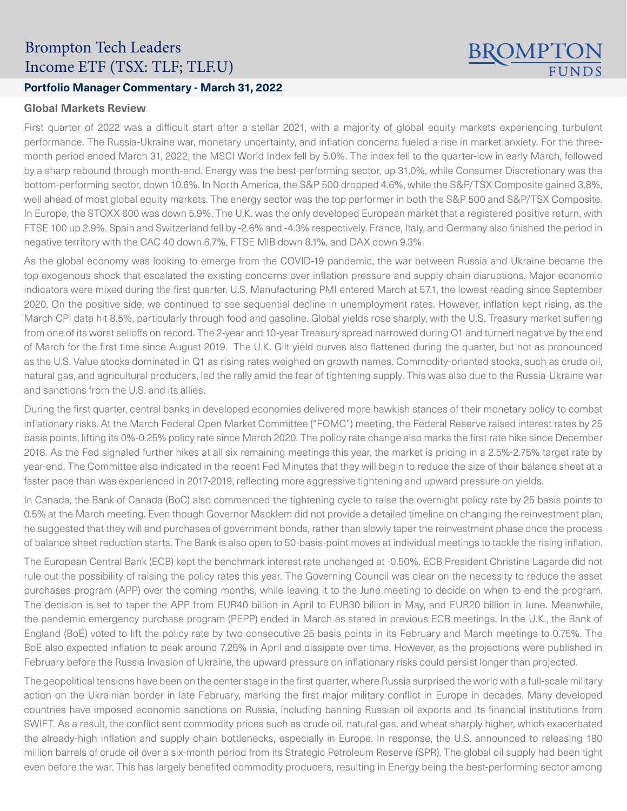# Brompton Tech Leaders Income ETF (TSX: TLF; TLF.U)

### **Portfolio Manager Commentary - March 31, 2022**

#### **Global Markets Review**

First quarter of 2022 was a difficult start after a stellar 2021, with a majority of global equity markets experiencing turbulent performance. The Russia-Ukraine war, monetary uncertainty, and inflation concerns fueled a rise in market anxiety. For the threemonth period ended March 31, 2022, the MSCI World Index fell by 5.0%. The index fell to the quarter-low in early March, followed by a sharp rebound through month-end. Energy was the best-performing sector, up 31.0%, while Consumer Discretionary was the bottom-performing sector, down 10.6%. In North America, the S&P 500 dropped 4.6%, while the S&P/TSX Composite gained 3.8%, well ahead of most global equity markets. The energy sector was the top performer in both the S&P 500 and S&P/TSX Composite. In Europe, the STOXX 600 was down 5.9%. The U.K. was the only developed European market that a registered positive return, with FTSE 100 up 2.9%. Spain and Switzerland fell by -2.6% and -4.3% respectively. France, Italy, and Germany also finished the period in negative territory with the CAC 40 down 6.7%, FTSE MIB down 8.1%, and DAX down 9.3%.

**BROMPTG** 

As the global economy was looking to emerge from the COVID-19 pandemic, the war between Russia and Ukraine became the top exogenous shock that escalated the existing concerns over inflation pressure and supply chain disruptions. Major economic indicators were mixed during the first quarter. U.S. Manufacturing PMI entered March at 57.1, the lowest reading since September 2020. On the positive side, we continued to see sequential decline in unemployment rates. However, inflation kept rising, as the March CPI data hit 8.5%, particularly through food and gasoline. Global yields rose sharply, with the U.S. Treasury market suffering from one of its worst selloffs on record. The 2-year and 10-year Treasury spread narrowed during Q1 and turned negative by the end of March for the first time since August 2019. The U.K. Gilt yield curves also flattened during the quarter, but not as pronounced as the U.S. Value stocks dominated in Q1 as rising rates weighed on growth names. Commodity-oriented stocks, such as crude oil, natural gas, and agricultural producers, led the rally amid the fear of tightening supply. This was also due to the Russia-Ukraine war and sanctions from the U.S. and its allies.

During the first quarter, central banks in developed economies delivered more hawkish stances of their monetary policy to combat inflationary risks. At the March Federal Open Market Committee ("FOMC") meeting, the Federal Reserve raised interest rates by 25 basis points, lifting its 0%-0.25% policy rate since March 2020. The policy rate change also marks the first rate hike since December 2018. As the Fed signaled further hikes at all six remaining meetings this year, the market is pricing in a 2.5%-2.75% target rate by year-end. The Committee also indicated in the recent Fed Minutes that they will begin to reduce the size of their balance sheet at a faster pace than was experienced in 2017-2019, reflecting more aggressive tightening and upward pressure on yields.

In Canada, the Bank of Canada (BoC) also commenced the tightening cycle to raise the overnight policy rate by 25 basis points to 0.5% at the March meeting. Even though Governor Macklem did not provide a detailed timeline on changing the reinvestment plan, he suggested that they will end purchases of government bonds, rather than slowly taper the reinvestment phase once the process of balance sheet reduction starts. The Bank is also open to 50-basis-point moves at individual meetings to tackle the rising inflation.

The European Central Bank (ECB) kept the benchmark interest rate unchanged at -0.50%. ECB President Christine Lagarde did not rule out the possibility of raising the policy rates this year. The Governing Council was clear on the necessity to reduce the asset purchases program (APP) over the coming months, while leaving it to the June meeting to decide on when to end the program. The decision is set to taper the APP from EUR40 billion in April to EUR30 billion in May, and EUR20 billion in June. Meanwhile, the pandemic emergency purchase program (PEPP) ended in March as stated in previous ECB meetings. In the U.K., the Bank of England (BoE) voted to lift the policy rate by two consecutive 25 basis points in its February and March meetings to 0.75%. The BoE also expected inflation to peak around 7.25% in April and dissipate over time. However, as the projections were published in February before the Russia Invasion of Ukraine, the upward pressure on inflationary risks could persist longer than projected.

The geopolitical tensions have been on the center stage in the first quarter, where Russia surprised the world with a full-scale military action on the Ukrainian border in late February, marking the first major military conflict in Europe in decades. Many developed countries have imposed economic sanctions on Russia, including banning Russian oil exports and its financial institutions from SWIFT. As a result, the conflict sent commodity prices such as crude oil, natural gas, and wheat sharply higher, which exacerbated the already-high inflation and supply chain bottlenecks, especially in Europe. In response, the U.S. announced to releasing 180 million barrels of crude oil over a six-month period from its Strategic Petroleum Reserve (SPR). The global oil supply had been tight even before the war. This has largely benefited commodity producers, resulting in Energy being the best-performing sector among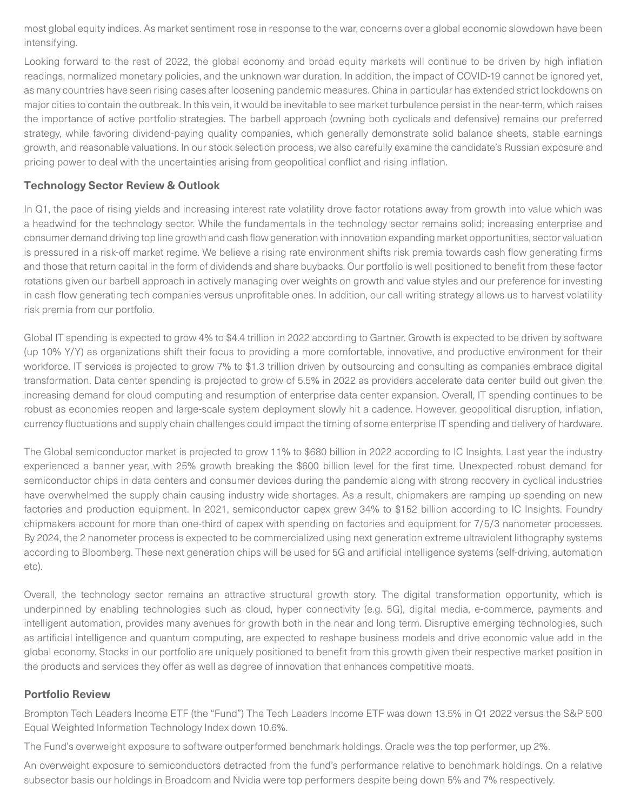most global equity indices. As market sentiment rose in response to the war, concerns over a global economic slowdown have been intensifying.

Looking forward to the rest of 2022, the global economy and broad equity markets will continue to be driven by high inflation readings, normalized monetary policies, and the unknown war duration. In addition, the impact of COVID-19 cannot be ignored yet, as many countries have seen rising cases after loosening pandemic measures. China in particular has extended strict lockdowns on major cities to contain the outbreak. In this vein, it would be inevitable to see market turbulence persist in the near-term, which raises the importance of active portfolio strategies. The barbell approach (owning both cyclicals and defensive) remains our preferred strategy, while favoring dividend-paying quality companies, which generally demonstrate solid balance sheets, stable earnings growth, and reasonable valuations. In our stock selection process, we also carefully examine the candidate's Russian exposure and pricing power to deal with the uncertainties arising from geopolitical conflict and rising inflation.

## **Technology Sector Review & Outlook**

In Q1, the pace of rising yields and increasing interest rate volatility drove factor rotations away from growth into value which was a headwind for the technology sector. While the fundamentals in the technology sector remains solid; increasing enterprise and consumer demand driving top line growth and cash flow generation with innovation expanding market opportunities, sector valuation is pressured in a risk-off market regime. We believe a rising rate environment shifts risk premia towards cash flow generating firms and those that return capital in the form of dividends and share buybacks. Our portfolio is well positioned to benefit from these factor rotations given our barbell approach in actively managing over weights on growth and value styles and our preference for investing in cash flow generating tech companies versus unprofitable ones. In addition, our call writing strategy allows us to harvest volatility risk premia from our portfolio.

Global IT spending is expected to grow 4% to \$4.4 trillion in 2022 according to Gartner. Growth is expected to be driven by software (up 10% Y/Y) as organizations shift their focus to providing a more comfortable, innovative, and productive environment for their workforce. IT services is projected to grow 7% to \$1.3 trillion driven by outsourcing and consulting as companies embrace digital transformation. Data center spending is projected to grow of 5.5% in 2022 as providers accelerate data center build out given the increasing demand for cloud computing and resumption of enterprise data center expansion. Overall, IT spending continues to be robust as economies reopen and large-scale system deployment slowly hit a cadence. However, geopolitical disruption, inflation, currency fluctuations and supply chain challenges could impact the timing of some enterprise IT spending and delivery of hardware.

The Global semiconductor market is projected to grow 11% to \$680 billion in 2022 according to IC Insights. Last year the industry experienced a banner year, with 25% growth breaking the \$600 billion level for the first time. Unexpected robust demand for semiconductor chips in data centers and consumer devices during the pandemic along with strong recovery in cyclical industries have overwhelmed the supply chain causing industry wide shortages. As a result, chipmakers are ramping up spending on new factories and production equipment. In 2021, semiconductor capex grew 34% to \$152 billion according to IC Insights. Foundry chipmakers account for more than one-third of capex with spending on factories and equipment for 7/5/3 nanometer processes. By 2024, the 2 nanometer process is expected to be commercialized using next generation extreme ultraviolent lithography systems according to Bloomberg. These next generation chips will be used for 5G and artificial intelligence systems (self-driving, automation etc).

Overall, the technology sector remains an attractive structural growth story. The digital transformation opportunity, which is underpinned by enabling technologies such as cloud, hyper connectivity (e.g. 5G), digital media, e-commerce, payments and intelligent automation, provides many avenues for growth both in the near and long term. Disruptive emerging technologies, such as artificial intelligence and quantum computing, are expected to reshape business models and drive economic value add in the global economy. Stocks in our portfolio are uniquely positioned to benefit from this growth given their respective market position in the products and services they offer as well as degree of innovation that enhances competitive moats.

### **Portfolio Review**

Brompton Tech Leaders Income ETF (the "Fund") The Tech Leaders Income ETF was down 13.5% in Q1 2022 versus the S&P 500 Equal Weighted Information Technology Index down 10.6%.

The Fund's overweight exposure to software outperformed benchmark holdings. Oracle was the top performer, up 2%.

An overweight exposure to semiconductors detracted from the fund's performance relative to benchmark holdings. On a relative subsector basis our holdings in Broadcom and Nvidia were top performers despite being down 5% and 7% respectively.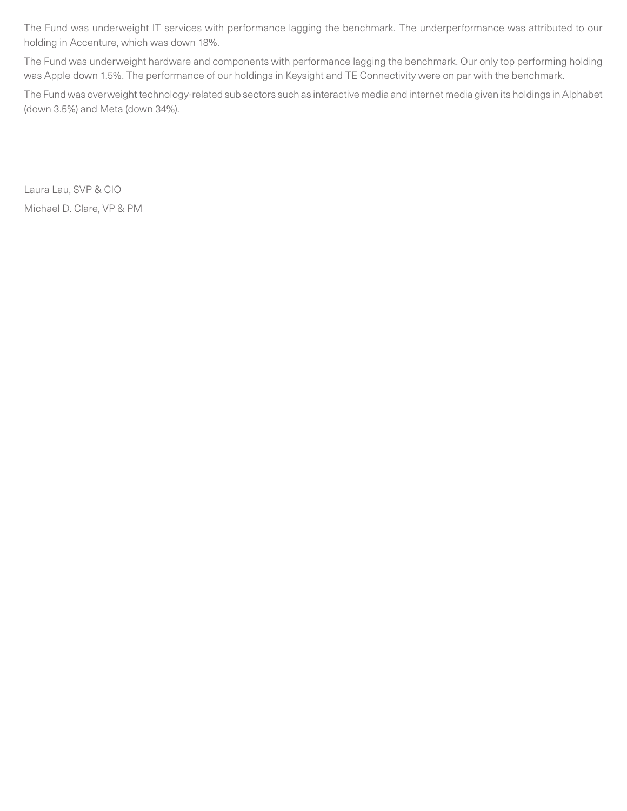The Fund was underweight IT services with performance lagging the benchmark. The underperformance was attributed to our holding in Accenture, which was down 18%.

The Fund was underweight hardware and components with performance lagging the benchmark. Our only top performing holding was Apple down 1.5%. The performance of our holdings in Keysight and TE Connectivity were on par with the benchmark.

The Fund was overweight technology-related sub sectors such as interactive media and internet media given its holdings in Alphabet (down 3.5%) and Meta (down 34%).

Laura Lau, SVP & CIO Michael D. Clare, VP & PM